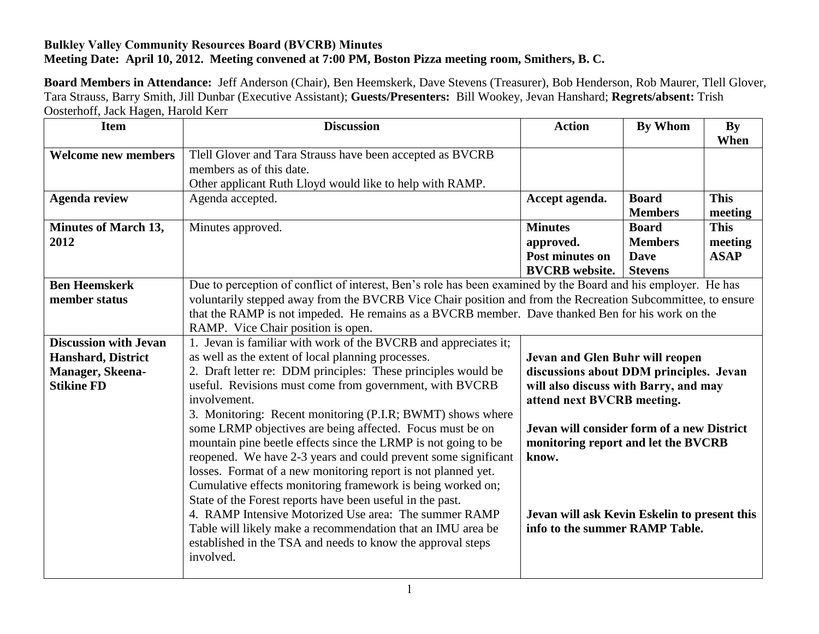## **Bulkley Valley Community Resources Board (BVCRB) Minutes Meeting Date: April 10, 2012. Meeting convened at 7:00 PM, Boston Pizza meeting room, Smithers, B. C.**

**Board Members in Attendance:** Jeff Anderson (Chair), Ben Heemskerk, Dave Stevens (Treasurer), Bob Henderson, Rob Maurer, Tlell Glover, Tara Strauss, Barry Smith, Jill Dunbar (Executive Assistant); **Guests/Presenters:** Bill Wookey, Jevan Hanshard; **Regrets/absent:** Trish Oosterhoff, Jack Hagen, Harold Kerr

| <b>Item</b>                                                                                        | <b>Discussion</b>                                                                                                                                                                                                                                                                                                                                                                                                                                                                                                                                                                                                                                                                                                                                                                                                                                                                                                                 | <b>Action</b>                                                                                                                                                                                                                                                                                                                     | <b>By Whom</b>                                                  | <b>By</b><br>When                     |
|----------------------------------------------------------------------------------------------------|-----------------------------------------------------------------------------------------------------------------------------------------------------------------------------------------------------------------------------------------------------------------------------------------------------------------------------------------------------------------------------------------------------------------------------------------------------------------------------------------------------------------------------------------------------------------------------------------------------------------------------------------------------------------------------------------------------------------------------------------------------------------------------------------------------------------------------------------------------------------------------------------------------------------------------------|-----------------------------------------------------------------------------------------------------------------------------------------------------------------------------------------------------------------------------------------------------------------------------------------------------------------------------------|-----------------------------------------------------------------|---------------------------------------|
| <b>Welcome new members</b>                                                                         | Tlell Glover and Tara Strauss have been accepted as BVCRB<br>members as of this date.<br>Other applicant Ruth Lloyd would like to help with RAMP.                                                                                                                                                                                                                                                                                                                                                                                                                                                                                                                                                                                                                                                                                                                                                                                 |                                                                                                                                                                                                                                                                                                                                   |                                                                 |                                       |
| <b>Agenda review</b>                                                                               | Agenda accepted.                                                                                                                                                                                                                                                                                                                                                                                                                                                                                                                                                                                                                                                                                                                                                                                                                                                                                                                  | Accept agenda.                                                                                                                                                                                                                                                                                                                    | <b>Board</b><br><b>Members</b>                                  | <b>This</b><br>meeting                |
| <b>Minutes of March 13,</b><br>2012                                                                | Minutes approved.                                                                                                                                                                                                                                                                                                                                                                                                                                                                                                                                                                                                                                                                                                                                                                                                                                                                                                                 | <b>Minutes</b><br>approved.<br>Post minutes on<br><b>BVCRB</b> website.                                                                                                                                                                                                                                                           | <b>Board</b><br><b>Members</b><br><b>Dave</b><br><b>Stevens</b> | <b>This</b><br>meeting<br><b>ASAP</b> |
| <b>Ben Heemskerk</b><br>member status                                                              | Due to perception of conflict of interest, Ben's role has been examined by the Board and his employer. He has<br>voluntarily stepped away from the BVCRB Vice Chair position and from the Recreation Subcommittee, to ensure<br>that the RAMP is not impeded. He remains as a BVCRB member. Dave thanked Ben for his work on the<br>RAMP. Vice Chair position is open.                                                                                                                                                                                                                                                                                                                                                                                                                                                                                                                                                            |                                                                                                                                                                                                                                                                                                                                   |                                                                 |                                       |
| <b>Discussion with Jevan</b><br><b>Hanshard, District</b><br>Manager, Skeena-<br><b>Stikine FD</b> | 1. Jevan is familiar with work of the BVCRB and appreciates it;<br>as well as the extent of local planning processes.<br>2. Draft letter re: DDM principles: These principles would be<br>useful. Revisions must come from government, with BVCRB<br>involvement.<br>3. Monitoring: Recent monitoring (P.I.R; BWMT) shows where<br>some LRMP objectives are being affected. Focus must be on<br>mountain pine beetle effects since the LRMP is not going to be<br>reopened. We have 2-3 years and could prevent some significant<br>losses. Format of a new monitoring report is not planned yet.<br>Cumulative effects monitoring framework is being worked on;<br>State of the Forest reports have been useful in the past.<br>4. RAMP Intensive Motorized Use area: The summer RAMP<br>Table will likely make a recommendation that an IMU area be<br>established in the TSA and needs to know the approval steps<br>involved. | Jevan and Glen Buhr will reopen<br>discussions about DDM principles. Jevan<br>will also discuss with Barry, and may<br>attend next BVCRB meeting.<br>Jevan will consider form of a new District<br>monitoring report and let the BVCRB<br>know.<br>Jevan will ask Kevin Eskelin to present this<br>info to the summer RAMP Table. |                                                                 |                                       |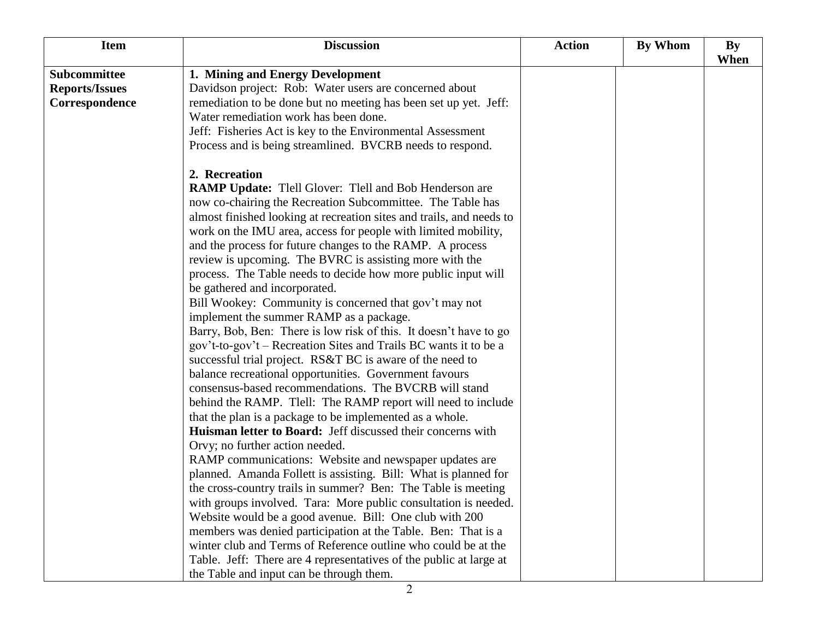| <b>Item</b>           | <b>Discussion</b>                                                    | <b>Action</b> | <b>By Whom</b> | By   |
|-----------------------|----------------------------------------------------------------------|---------------|----------------|------|
|                       |                                                                      |               |                | When |
| Subcommittee          | 1. Mining and Energy Development                                     |               |                |      |
| <b>Reports/Issues</b> | Davidson project: Rob: Water users are concerned about               |               |                |      |
| Correspondence        | remediation to be done but no meeting has been set up yet. Jeff:     |               |                |      |
|                       | Water remediation work has been done.                                |               |                |      |
|                       | Jeff: Fisheries Act is key to the Environmental Assessment           |               |                |      |
|                       | Process and is being streamlined. BVCRB needs to respond.            |               |                |      |
|                       | 2. Recreation                                                        |               |                |      |
|                       | RAMP Update: Tlell Glover: Tlell and Bob Henderson are               |               |                |      |
|                       | now co-chairing the Recreation Subcommittee. The Table has           |               |                |      |
|                       | almost finished looking at recreation sites and trails, and needs to |               |                |      |
|                       | work on the IMU area, access for people with limited mobility,       |               |                |      |
|                       | and the process for future changes to the RAMP. A process            |               |                |      |
|                       | review is upcoming. The BVRC is assisting more with the              |               |                |      |
|                       | process. The Table needs to decide how more public input will        |               |                |      |
|                       | be gathered and incorporated.                                        |               |                |      |
|                       | Bill Wookey: Community is concerned that gov't may not               |               |                |      |
|                       | implement the summer RAMP as a package.                              |               |                |      |
|                       | Barry, Bob, Ben: There is low risk of this. It doesn't have to go    |               |                |      |
|                       | gov't-to-gov't – Recreation Sites and Trails BC wants it to be a     |               |                |      |
|                       | successful trial project. RS&T BC is aware of the need to            |               |                |      |
|                       | balance recreational opportunities. Government favours               |               |                |      |
|                       | consensus-based recommendations. The BVCRB will stand                |               |                |      |
|                       | behind the RAMP. Tlell: The RAMP report will need to include         |               |                |      |
|                       | that the plan is a package to be implemented as a whole.             |               |                |      |
|                       | Huisman letter to Board: Jeff discussed their concerns with          |               |                |      |
|                       | Orvy; no further action needed.                                      |               |                |      |
|                       | RAMP communications: Website and newspaper updates are               |               |                |      |
|                       | planned. Amanda Follett is assisting. Bill: What is planned for      |               |                |      |
|                       | the cross-country trails in summer? Ben: The Table is meeting        |               |                |      |
|                       | with groups involved. Tara: More public consultation is needed.      |               |                |      |
|                       | Website would be a good avenue. Bill: One club with 200              |               |                |      |
|                       | members was denied participation at the Table. Ben: That is a        |               |                |      |
|                       | winter club and Terms of Reference outline who could be at the       |               |                |      |
|                       | Table. Jeff: There are 4 representatives of the public at large at   |               |                |      |
|                       | the Table and input can be through them.                             |               |                |      |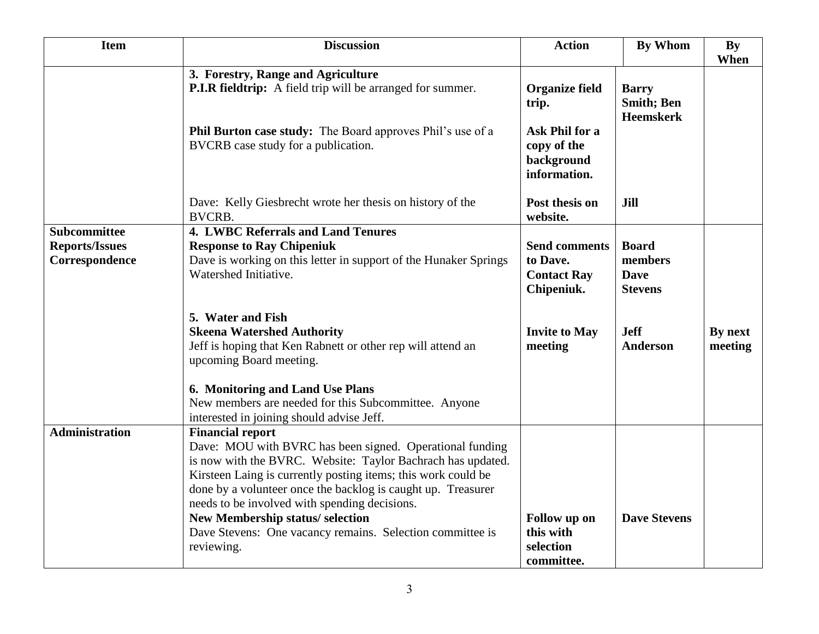| <b>Item</b>                                                    | <b>Discussion</b>                                                                                                                                                                                                                                                                                                                                                                                                                    | <b>Action</b>                                                                                 | <b>By Whom</b>                                           | <b>By</b><br>When  |
|----------------------------------------------------------------|--------------------------------------------------------------------------------------------------------------------------------------------------------------------------------------------------------------------------------------------------------------------------------------------------------------------------------------------------------------------------------------------------------------------------------------|-----------------------------------------------------------------------------------------------|----------------------------------------------------------|--------------------|
|                                                                | 3. Forestry, Range and Agriculture<br>P.I.R fieldtrip: A field trip will be arranged for summer.<br><b>Phil Burton case study:</b> The Board approves Phil's use of a<br>BVCRB case study for a publication.                                                                                                                                                                                                                         | <b>Organize field</b><br>trip.<br>Ask Phil for a<br>copy of the<br>background<br>information. | <b>Barry</b><br><b>Smith</b> ; Ben<br><b>Heemskerk</b>   |                    |
|                                                                | Dave: Kelly Giesbrecht wrote her thesis on history of the<br><b>BVCRB.</b>                                                                                                                                                                                                                                                                                                                                                           | Post thesis on<br>website.                                                                    | Jill                                                     |                    |
| <b>Subcommittee</b><br><b>Reports/Issues</b><br>Correspondence | <b>4. LWBC Referrals and Land Tenures</b><br><b>Response to Ray Chipeniuk</b><br>Dave is working on this letter in support of the Hunaker Springs<br>Watershed Initiative.                                                                                                                                                                                                                                                           | <b>Send comments</b><br>to Dave.<br><b>Contact Ray</b><br>Chipeniuk.                          | <b>Board</b><br>members<br><b>Dave</b><br><b>Stevens</b> |                    |
|                                                                | 5. Water and Fish<br><b>Skeena Watershed Authority</b><br>Jeff is hoping that Ken Rabnett or other rep will attend an<br>upcoming Board meeting.                                                                                                                                                                                                                                                                                     | <b>Invite to May</b><br>meeting                                                               | <b>Jeff</b><br>Anderson                                  | By next<br>meeting |
|                                                                | 6. Monitoring and Land Use Plans<br>New members are needed for this Subcommittee. Anyone<br>interested in joining should advise Jeff.                                                                                                                                                                                                                                                                                                |                                                                                               |                                                          |                    |
| <b>Administration</b>                                          | <b>Financial report</b><br>Dave: MOU with BVRC has been signed. Operational funding<br>is now with the BVRC. Website: Taylor Bachrach has updated.<br>Kirsteen Laing is currently posting items; this work could be<br>done by a volunteer once the backlog is caught up. Treasurer<br>needs to be involved with spending decisions.<br>New Membership status/selection<br>Dave Stevens: One vacancy remains. Selection committee is | Follow up on<br>this with                                                                     | <b>Dave Stevens</b>                                      |                    |
|                                                                | reviewing.                                                                                                                                                                                                                                                                                                                                                                                                                           | selection<br>committee.                                                                       |                                                          |                    |